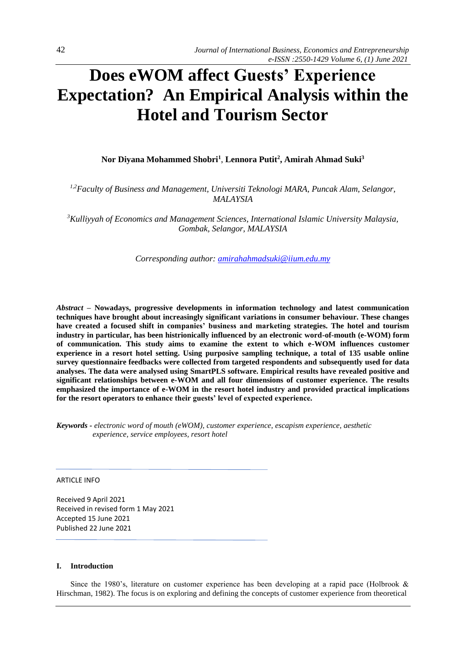# **Does eWOM affect Guests' Experience Expectation? An Empirical Analysis within the Hotel and Tourism Sector**

**Nor Diyana Mohammed Shobri<sup>1</sup>** , **Lennora Putit<sup>2</sup> , Amirah Ahmad Suki<sup>3</sup>**

*1,2Faculty of Business and Management, Universiti Teknologi MARA, Puncak Alam, Selangor, MALAYSIA* 

*<sup>3</sup>Kulliyyah of Economics and Management Sciences, International Islamic University Malaysia, Gombak, Selangor, MALAYSIA* 

*Corresponding author: [amirahahmadsuki@iium.edu.my](mailto:amirahahmadsuki@iium.edu.my)*

*Abstract –* **Nowadays, progressive developments in information technology and latest communication techniques have brought about increasingly significant variations in consumer behaviour. These changes have created a focused shift in companies' business and marketing strategies. The hotel and tourism industry in particular, has been histrionically influenced by an electronic word-of-mouth (e-WOM) form of communication. This study aims to examine the extent to which e-WOM influences customer experience in a resort hotel setting. Using purposive sampling technique, a total of 135 usable online survey questionnaire feedbacks were collected from targeted respondents and subsequently used for data analyses. The data were analysed using SmartPLS software. Empirical results have revealed positive and significant relationships between e-WOM and all four dimensions of customer experience. The results emphasized the importance of e-WOM in the resort hotel industry and provided practical implications for the resort operators to enhance their guests' level of expected experience.** 

*Keywords - electronic word of mouth (eWOM), customer experience, escapism experience, aesthetic experience, service employees, resort hotel*

ARTICLE INFO

Received 9 April 2021 Received in revised form 1 May 2021 Accepted 15 June 2021 Published 22 June 2021

#### **I. Introduction**

Since the 1980's, literature on customer experience has been developing at a rapid pace (Holbrook & Hirschman, 1982). The focus is on exploring and defining the concepts of customer experience from theoretical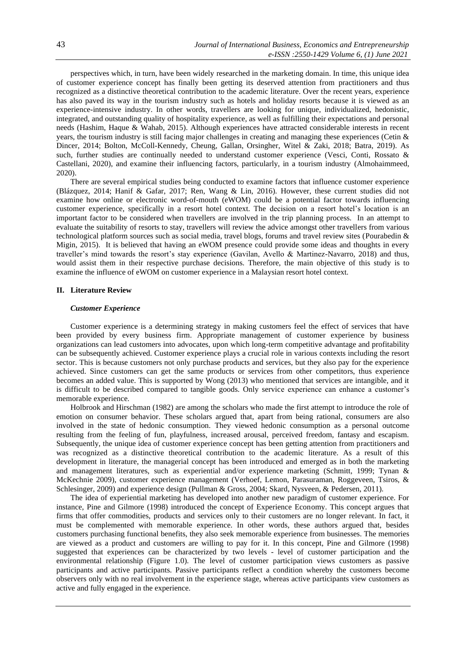perspectives which, in turn, have been widely researched in the marketing domain. In time, this unique idea of customer experience concept has finally been getting its deserved attention from practitioners and thus recognized as a distinctive theoretical contribution to the academic literature. Over the recent years, experience has also paved its way in the tourism industry such as hotels and holiday resorts because it is viewed as an experience-intensive industry. In other words, travellers are looking for unique, individualized, hedonistic, integrated, and outstanding quality of hospitality experience, as well as fulfilling their expectations and personal needs (Hashim, Haque & Wahab, 2015). Although experiences have attracted considerable interests in recent years, the tourism industry is still facing major challenges in creating and managing these experiences (Cetin & Dincer, 2014; Bolton, McColl-Kennedy, Cheung, Gallan, Orsingher, Witel & Zaki, 2018; Batra, 2019). As such, further studies are continually needed to understand customer experience (Vesci, Conti, Rossato & Castellani, 2020), and examine their influencing factors, particularly, in a tourism industry (Almohaimmeed, 2020).

There are several empirical studies being conducted to examine factors that influence customer experience (Blázquez, 2014; Hanif & Gafar, 2017; Ren, Wang & Lin, 2016). However, these current studies did not examine how online or electronic word-of-mouth (eWOM) could be a potential factor towards influencing customer experience, specifically in a resort hotel context. The decision on a resort hotel's location is an important factor to be considered when travellers are involved in the trip planning process. In an attempt to evaluate the suitability of resorts to stay, travellers will review the advice amongst other travellers from various technological platform sources such as social media, travel blogs, forums and travel review sites (Pourabedin & Migin, 2015). It is believed that having an eWOM presence could provide some ideas and thoughts in every traveller's mind towards the resort's stay experience (Gavilan, Avello & Martinez-Navarro, 2018) and thus, would assist them in their respective purchase decisions. Therefore, the main objective of this study is to examine the influence of eWOM on customer experience in a Malaysian resort hotel context.

### **II. Literature Review**

#### *Customer Experience*

Customer experience is a determining strategy in making customers feel the effect of services that have been provided by every business firm. Appropriate management of customer experience by business organizations can lead customers into advocates, upon which long-term competitive advantage and profitability can be subsequently achieved. Customer experience plays a crucial role in various contexts including the resort sector. This is because customers not only purchase products and services, but they also pay for the experience achieved. Since customers can get the same products or services from other competitors, thus experience becomes an added value. This is supported by Wong (2013) who mentioned that services are intangible, and it is difficult to be described compared to tangible goods. Only service experience can enhance a customer's memorable experience.

Holbrook and Hirschman (1982) are among the scholars who made the first attempt to introduce the role of emotion on consumer behavior. These scholars argued that, apart from being rational, consumers are also involved in the state of hedonic consumption. They viewed hedonic consumption as a personal outcome resulting from the feeling of fun, playfulness, increased arousal, perceived freedom, fantasy and escapism. Subsequently, the unique idea of customer experience concept has been getting attention from practitioners and was recognized as a distinctive theoretical contribution to the academic literature. As a result of this development in literature, the managerial concept has been introduced and emerged as in both the marketing and management literatures, such as experiential and/or experience marketing (Schmitt, 1999; Tynan & McKechnie 2009), customer experience management (Verhoef, Lemon, Parasuraman, Roggeveen, Tsiros, & Schlesinger, 2009) and experience design (Pullman & Gross, 2004; Skard, Nysveen, & Pedersen, 2011).

The idea of experiential marketing has developed into another new paradigm of customer experience. For instance, Pine and Gilmore (1998) introduced the concept of Experience Economy. This concept argues that firms that offer commodities, products and services only to their customers are no longer relevant. In fact, it must be complemented with memorable experience. In other words, these authors argued that, besides customers purchasing functional benefits, they also seek memorable experience from businesses. The memories are viewed as a product and customers are willing to pay for it. In this concept, Pine and Gilmore (1998) suggested that experiences can be characterized by two levels - level of customer participation and the environmental relationship (Figure 1.0). The level of customer participation views customers as passive participants and active participants. Passive participants reflect a condition whereby the customers become observers only with no real involvement in the experience stage, whereas active participants view customers as active and fully engaged in the experience.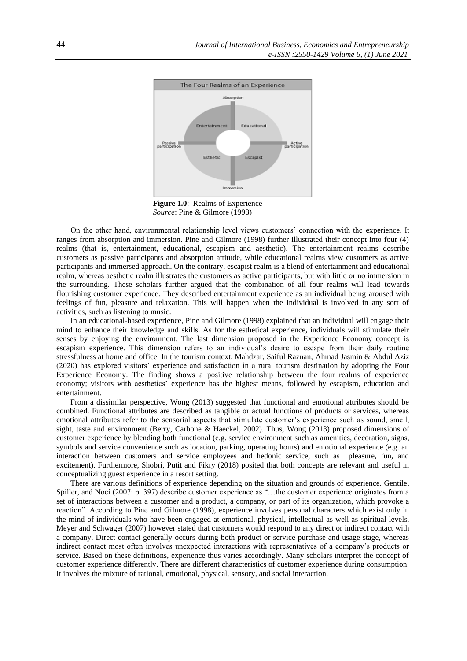

Figure 1.0: Realms of Experience *Source*: Pine & Gilmore (1998)

On the other hand, environmental relationship level views customers' connection with the experience. It ranges from absorption and immersion. Pine and Gilmore (1998) further illustrated their concept into four (4) realms (that is, entertainment, educational, escapism and aesthetic). The entertainment realms describe customers as passive participants and absorption attitude, while educational realms view customers as active participants and immersed approach. On the contrary, escapist realm is a blend of entertainment and educational realm, whereas aesthetic realm illustrates the customers as active participants, but with little or no immersion in the surrounding. These scholars further argued that the combination of all four realms will lead towards flourishing customer experience. They described entertainment experience as an individual being aroused with feelings of fun, pleasure and relaxation. This will happen when the individual is involved in any sort of activities, such as listening to music.

In an educational-based experience, Pine and Gilmore (1998) explained that an individual will engage their mind to enhance their knowledge and skills. As for the esthetical experience, individuals will stimulate their senses by enjoying the environment. The last dimension proposed in the Experience Economy concept is escapism experience. This dimension refers to an individual's desire to escape from their daily routine stressfulness at home and office. In the tourism context, Mahdzar, Saiful Raznan, Ahmad Jasmin & Abdul Aziz (2020) has explored visitors' experience and satisfaction in a rural tourism destination by adopting the Four Experience Economy. The finding shows a positive relationship between the four realms of experience economy; visitors with aesthetics' experience has the highest means, followed by escapism, education and entertainment.

From a dissimilar perspective, Wong (2013) suggested that functional and emotional attributes should be combined. Functional attributes are described as tangible or actual functions of products or services, whereas emotional attributes refer to the sensorial aspects that stimulate customer's experience such as sound, smell, sight, taste and environment (Berry, Carbone & Haeckel, 2002). Thus, Wong (2013) proposed dimensions of customer experience by blending both functional (e.g. service environment such as amenities, decoration, signs, symbols and service convenience such as location, parking, operating hours) and emotional experience (e.g. an interaction between customers and service employees and hedonic service, such as pleasure, fun, and excitement). Furthermore, Shobri, Putit and Fikry (2018) posited that both concepts are relevant and useful in conceptualizing guest experience in a resort setting.

There are various definitions of experience depending on the situation and grounds of experience. Gentile, Spiller, and Noci (2007: p. 397) describe customer experience as "…the customer experience originates from a set of interactions between a customer and a product, a company, or part of its organization, which provoke a reaction". According to Pine and Gilmore (1998), experience involves personal characters which exist only in the mind of individuals who have been engaged at emotional, physical, intellectual as well as spiritual levels. Meyer and Schwager (2007) however stated that customers would respond to any direct or indirect contact with a company. Direct contact generally occurs during both product or service purchase and usage stage, whereas indirect contact most often involves unexpected interactions with representatives of a company's products or service. Based on these definitions, experience thus varies accordingly. Many scholars interpret the concept of customer experience differently. There are different characteristics of customer experience during consumption. It involves the mixture of rational, emotional, physical, sensory, and social interaction.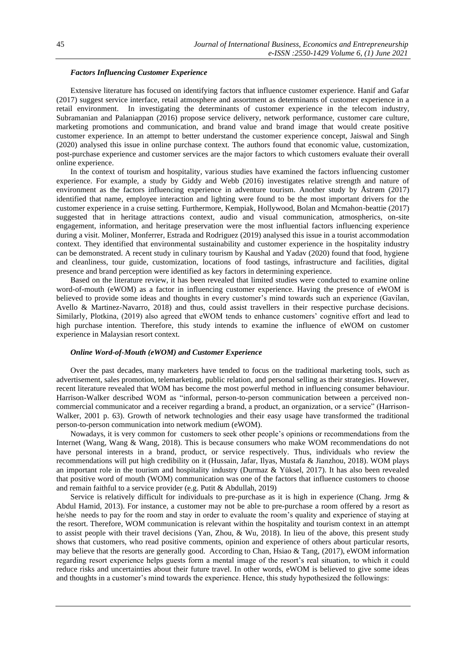# *Factors Influencing Customer Experience*

Extensive literature has focused on identifying factors that influence customer experience. Hanif and Gafar (2017) suggest service interface, retail atmosphere and assortment as determinants of customer experience in a retail environment. In investigating the determinants of customer experience in the telecom industry, Subramanian and Palaniappan (2016) propose service delivery, network performance, customer care culture, marketing promotions and communication, and brand value and brand image that would create positive customer experience. In an attempt to better understand the customer experience concept, Jaiswal and Singh (2020) analysed this issue in online purchase context. The authors found that economic value, customization, post-purchase experience and customer services are the major factors to which customers evaluate their overall online experience.

In the context of tourism and hospitality, various studies have examined the factors influencing customer experience. For example, a study by Giddy and Webb (2016) investigates relative strength and nature of environment as the factors influencing experience in adventure tourism. Another study by Åstrøm (2017) identified that name, employee interaction and lighting were found to be the most important drivers for the customer experience in a cruise setting. Furthermore, Kempiak, Hollywood, Bolan and Mcmahon-beattie (2017) suggested that in heritage attractions context, audio and visual communication, atmospherics, on-site engagement, information, and heritage preservation were the most influential factors influencing experience during a visit. Moliner, Monferrer, Estrada and Rodriguez (2019) analysed this issue in a tourist accommodation context. They identified that environmental sustainability and customer experience in the hospitality industry can be demonstrated. A recent study in culinary tourism by Kaushal and Yadav (2020) found that food, hygiene and cleanliness, tour guide, customization, locations of food tastings, infrastructure and facilities, digital presence and brand perception were identified as key factors in determining experience.

Based on the literature review, it has been revealed that limited studies were conducted to examine online word-of-mouth (eWOM) as a factor in influencing customer experience. Having the presence of eWOM is believed to provide some ideas and thoughts in every customer's mind towards such an experience (Gavilan, Avello & Martinez-Navarro, 2018) and thus, could assist travellers in their respective purchase decisions. Similarly, Plotkina, (2019) also agreed that eWOM tends to enhance customers' cognitive effort and lead to high purchase intention. Therefore, this study intends to examine the influence of eWOM on customer experience in Malaysian resort context.

#### *Online Word-of-Mouth (eWOM) and Customer Experience*

Over the past decades, many marketers have tended to focus on the traditional marketing tools, such as advertisement, sales promotion, telemarketing, public relation, and personal selling as their strategies. However, recent literature revealed that WOM has become the most powerful method in influencing consumer behaviour. Harrison-Walker described WOM as "informal, person-to-person communication between a perceived noncommercial communicator and a receiver regarding a brand, a product, an organization, or a service" (Harrison-Walker, 2001 p. 63). Growth of network technologies and their easy usage have transformed the traditional person-to-person communication into network medium (eWOM).

Nowadays, it is very common for customers to seek other people's opinions or recommendations from the Internet (Wang, Wang & Wang, 2018). This is because consumers who make WOM recommendations do not have personal interests in a brand, product, or service respectively. Thus, individuals who review the recommendations will put high credibility on it (Hussain, Jafar, Ilyas, Mustafa & Jianzhou, 2018). WOM plays an important role in the tourism and hospitality industry (Durmaz & Yüksel, 2017). It has also been revealed that positive word of mouth (WOM) communication was one of the factors that influence customers to choose and remain faithful to a service provider (e.g. Putit & Abdullah, 2019)

Service is relatively difficult for individuals to pre-purchase as it is high in experience (Chang. Jrmg & Abdul Hamid, 2013). For instance, a customer may not be able to pre-purchase a room offered by a resort as he/she needs to pay for the room and stay in order to evaluate the room's quality and experience of staying at the resort. Therefore, WOM communication is relevant within the hospitality and tourism context in an attempt to assist people with their travel decisions (Yan, Zhou, & Wu, 2018). In lieu of the above, this present study shows that customers, who read positive comments, opinion and experience of others about particular resorts, may believe that the resorts are generally good. According to Chan, Hsiao & Tang, (2017), eWOM information regarding resort experience helps guests form a mental image of the resort's real situation, to which it could reduce risks and uncertainties about their future travel. In other words, eWOM is believed to give some ideas and thoughts in a customer's mind towards the experience. Hence, this study hypothesized the followings: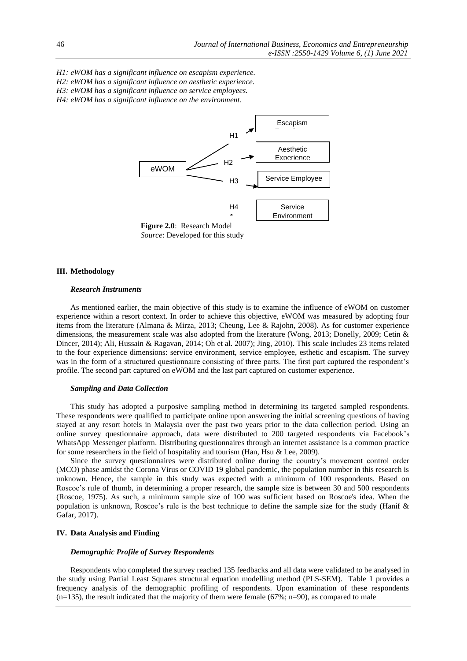*H1: eWOM has a significant influence on escapism experience. H2: eWOM has a significant influence on aesthetic experience. H3: eWOM has a significant influence on service employees. H4: eWOM has a significant influence on the environment*.



 *Source*: Developed for this study

# **III. Methodology**

## *Research Instruments*

As mentioned earlier, the main objective of this study is to examine the influence of eWOM on customer experience within a resort context. In order to achieve this objective, eWOM was measured by adopting four items from the literature (Almana & Mirza, 2013; Cheung, Lee & Rajohn, 2008). As for customer experience dimensions, the measurement scale was also adopted from the literature (Wong, 2013; Donelly, 2009; Cetin & Dincer, 2014); Ali, Hussain & Ragavan, 2014; Oh et al. 2007); Jing, 2010). This scale includes 23 items related to the four experience dimensions: service environment, service employee, esthetic and escapism. The survey was in the form of a structured questionnaire consisting of three parts. The first part captured the respondent's profile. The second part captured on eWOM and the last part captured on customer experience.

#### *Sampling and Data Collection*

This study has adopted a purposive sampling method in determining its targeted sampled respondents. These respondents were qualified to participate online upon answering the initial screening questions of having stayed at any resort hotels in Malaysia over the past two years prior to the data collection period. Using an online survey questionnaire approach, data were distributed to 200 targeted respondents via Facebook's WhatsApp Messenger platform. Distributing questionnaires through an internet assistance is a common practice for some researchers in the field of hospitality and tourism (Han, Hsu & Lee, 2009).

Since the survey questionnaires were distributed online during the country's movement control order (MCO) phase amidst the Corona Virus or COVID 19 global pandemic, the population number in this research is unknown. Hence, the sample in this study was expected with a minimum of 100 respondents. Based on Roscoe's rule of thumb, in determining a proper research, the sample size is between 30 and 500 respondents (Roscoe, 1975). As such, a minimum sample size of 100 was sufficient based on Roscoe's idea. When the population is unknown, Roscoe's rule is the best technique to define the sample size for the study (Hanif & Gafar, 2017).

## **IV. Data Analysis and Finding**

#### *Demographic Profile of Survey Respondents*

Respondents who completed the survey reached 135 feedbacks and all data were validated to be analysed in the study using Partial Least Squares structural equation modelling method (PLS-SEM). Table 1 provides a frequency analysis of the demographic profiling of respondents. Upon examination of these respondents  $(n=135)$ , the result indicated that the majority of them were female (67%; n=90), as compared to male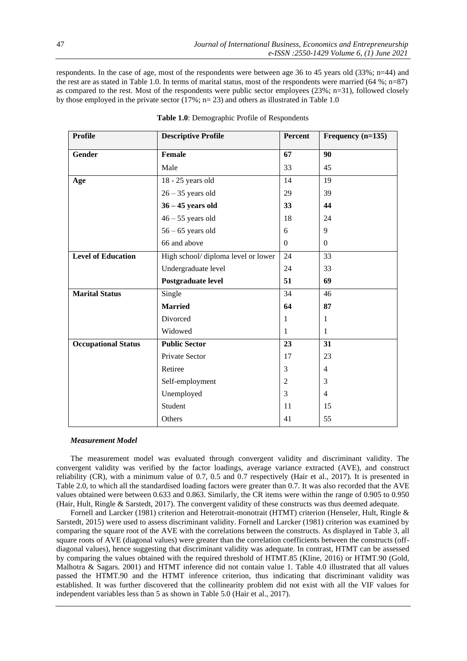respondents. In the case of age, most of the respondents were between age 36 to 45 years old (33%; n=44) and the rest are as stated in Table 1.0. In terms of marital status, most of the respondents were married (64 %; n=87) as compared to the rest. Most of the respondents were public sector employees (23%; n=31), followed closely by those employed in the private sector (17%;  $n=23$ ) and others as illustrated in Table 1.0

| <b>Profile</b>             | <b>Descriptive Profile</b>         | Percent      | Frequency $(n=135)$      |
|----------------------------|------------------------------------|--------------|--------------------------|
| Gender                     | <b>Female</b>                      | 67           | 90                       |
|                            | Male                               | 33           | 45                       |
| Age                        | 18 - 25 years old                  | 14           | 19                       |
|                            | $26 - 35$ years old                | 29           | 39                       |
|                            | $36 - 45$ years old                | 33           | 44                       |
|                            | $46 - 55$ years old                | 18           | 24                       |
|                            | $56 - 65$ years old                | 6            | 9                        |
|                            | 66 and above                       | $\mathbf{0}$ | $\boldsymbol{0}$         |
| <b>Level of Education</b>  | High school/diploma level or lower | 24           | 33                       |
|                            | Undergraduate level                | 24           | 33                       |
|                            | Postgraduate level                 | 51           | 69                       |
| <b>Marital Status</b>      | Single                             | 34           | 46                       |
|                            | <b>Married</b>                     | 64           | 87                       |
|                            | Divorced                           | 1            | 1                        |
|                            | Widowed                            | 1            | 1                        |
| <b>Occupational Status</b> | <b>Public Sector</b>               | 23           | 31                       |
|                            | Private Sector                     | 17           | 23                       |
|                            | Retiree                            | 3            | $\overline{\mathcal{A}}$ |
|                            | Self-employment                    |              | 3                        |
|                            | Unemployed                         | 3            | $\overline{4}$           |
|                            | Student                            | 11           | 15                       |
|                            | Others                             | 41           | 55                       |

**Table 1.0**: Demographic Profile of Respondents

### *Measurement Model*

The measurement model was evaluated through convergent validity and discriminant validity. The convergent validity was verified by the factor loadings, average variance extracted (AVE), and construct reliability (CR), with a minimum value of 0.7, 0.5 and 0.7 respectively (Hair et al., 2017). It is presented in Table 2.0, to which all the standardised loading factors were greater than 0.7. It was also recorded that the AVE values obtained were between 0.633 and 0.863. Similarly, the CR items were within the range of 0.905 to 0.950 (Hair, Hult, Ringle & Sarstedt, 2017). The convergent validity of these constructs was thus deemed adequate.

Fornell and Larcker (1981) criterion and Heterotrait-monotrait (HTMT) criterion (Henseler, Hult, Ringle & Sarstedt, 2015) were used to assess discriminant validity. Fornell and Larcker (1981) criterion was examined by comparing the square root of the AVE with the correlations between the constructs. As displayed in Table 3, all square roots of AVE (diagonal values) were greater than the correlation coefficients between the constructs (offdiagonal values), hence suggesting that discriminant validity was adequate. In contrast, HTMT can be assessed by comparing the values obtained with the required threshold of HTMT.85 (Kline, 2016) or HTMT.90 (Gold, Malhotra & Sagars. 2001) and HTMT inference did not contain value 1. Table 4.0 illustrated that all values passed the HTMT.90 and the HTMT inference criterion, thus indicating that discriminant validity was established. It was further discovered that the collinearity problem did not exist with all the VIF values for independent variables less than 5 as shown in Table 5.0 (Hair et al., 2017).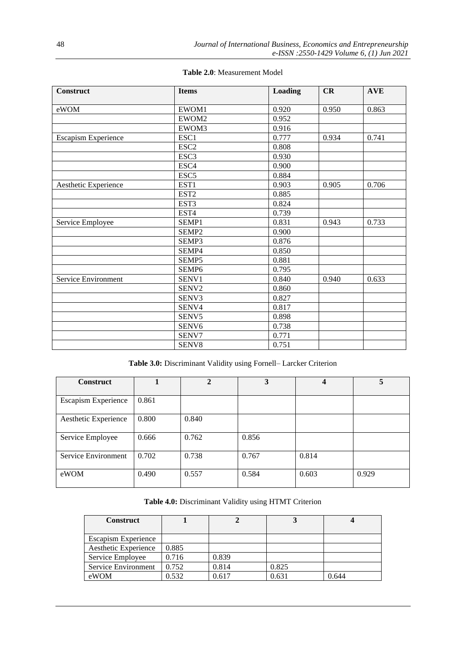| <b>Construct</b>           | <b>Items</b>      | Loading | CR    | <b>AVE</b> |
|----------------------------|-------------------|---------|-------|------------|
|                            |                   |         |       |            |
| eWOM                       | EWOM1             | 0.920   | 0.950 | 0.863      |
|                            | EWOM2             | 0.952   |       |            |
|                            | EWOM3             | 0.916   |       |            |
| <b>Escapism Experience</b> | ESC1              | 0.777   | 0.934 | 0.741      |
|                            | ESC <sub>2</sub>  | 0.808   |       |            |
|                            | ESC <sub>3</sub>  | 0.930   |       |            |
|                            | ESC <sub>4</sub>  | 0.900   |       |            |
|                            | ESC <sub>5</sub>  | 0.884   |       |            |
| Aesthetic Experience       | EST1              | 0.903   | 0.905 | 0.706      |
|                            | EST <sub>2</sub>  | 0.885   |       |            |
|                            | EST <sub>3</sub>  | 0.824   |       |            |
|                            | EST <sub>4</sub>  | 0.739   |       |            |
| Service Employee           | SEMP1             | 0.831   | 0.943 | 0.733      |
|                            | SEMP <sub>2</sub> | 0.900   |       |            |
|                            | SEMP3             | 0.876   |       |            |
|                            | SEMP4             | 0.850   |       |            |
|                            | SEMP5             | 0.881   |       |            |
|                            | SEMP <sub>6</sub> | 0.795   |       |            |
| Service Environment        | SENV1             | 0.840   | 0.940 | 0.633      |
|                            | SENV2             | 0.860   |       |            |
|                            | SENV3             | 0.827   |       |            |
|                            | SENV4             | 0.817   |       |            |
|                            | SENV5             | 0.898   |       |            |
|                            | SENV <sub>6</sub> | 0.738   |       |            |
|                            | SENV7             | 0.771   |       |            |
|                            | SENV8             | 0.751   |       |            |

**Table 2.0**: Measurement Model

**Table 3.0:** Discriminant Validity using Fornell– Larcker Criterion

| <b>Construct</b>           |       | $\mathbf 2$ | 3     | 4     |       |
|----------------------------|-------|-------------|-------|-------|-------|
|                            |       |             |       |       |       |
| <b>Escapism Experience</b> | 0.861 |             |       |       |       |
| Aesthetic Experience       | 0.800 | 0.840       |       |       |       |
| Service Employee           | 0.666 | 0.762       | 0.856 |       |       |
| Service Environment        | 0.702 | 0.738       | 0.767 | 0.814 |       |
| eWOM                       | 0.490 | 0.557       | 0.584 | 0.603 | 0.929 |

# **Table 4.0:** Discriminant Validity using HTMT Criterion

| <b>Construct</b>           |       |       |       |       |
|----------------------------|-------|-------|-------|-------|
|                            |       |       |       |       |
| <b>Escapism Experience</b> |       |       |       |       |
| Aesthetic Experience       | 0.885 |       |       |       |
| Service Employee           | 0.716 | 0.839 |       |       |
| Service Environment        | 0.752 | 0.814 | 0.825 |       |
| eWOM                       | 0.532 | 0.617 | 0.631 | 0.644 |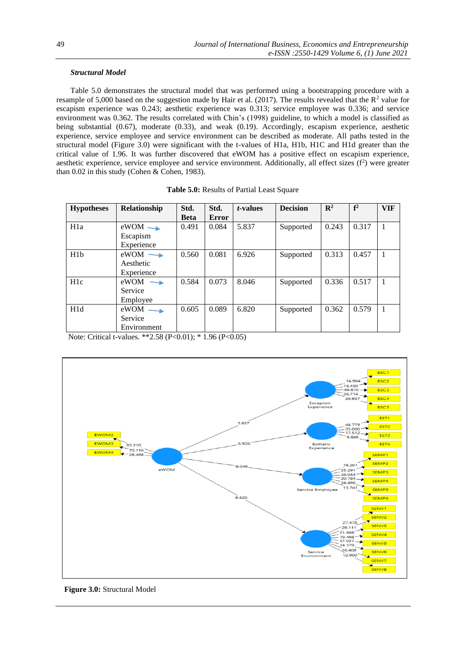# *Structural Model*

Table 5.0 demonstrates the structural model that was performed using a bootstrapping procedure with a resample of 5,000 based on the suggestion made by Hair et al. (2017). The results revealed that the  $R^2$  value for escapism experience was 0.243; aesthetic experience was 0.313; service employee was 0.336; and service environment was 0.362. The results correlated with Chin's (1998) guideline, to which a model is classified as being substantial (0.67), moderate (0.33), and weak (0.19). Accordingly, escapism experience, aesthetic experience, service employee and service environment can be described as moderate. All paths tested in the structural model (Figure 3.0) were significant with the t-values of H1a, H1b, H1C and H1d greater than the critical value of 1.96. It was further discovered that eWOM has a positive effect on escapism experience, aesthetic experience, service employee and service environment. Additionally, all effect sizes  $(f^2)$  were greater than 0.02 in this study (Cohen & Cohen, 1983).

| <b>Hypotheses</b> | Relationship                                      | Std.<br><b>Beta</b> | Std.<br><b>Error</b> | <i>t</i> -values | <b>Decision</b> | $\mathbf{R}^2$ | f <sup>2</sup> | <b>VIF</b> |
|-------------------|---------------------------------------------------|---------------------|----------------------|------------------|-----------------|----------------|----------------|------------|
| H <sub>1</sub> a  | $eWOM \rightarrow$<br>Escapism<br>Experience      | 0.491               | 0.084                | 5.837            | Supported       | 0.243          | 0.317          | 1          |
| H1 <sub>b</sub>   | $eWOM \longrightarrow$<br>Aesthetic<br>Experience | 0.560               | 0.081                | 6.926            | Supported       | 0.313          | 0.457          | 1          |
| H1c               | $eWOM \rightarrow$<br>Service<br>Employee         | 0.584               | 0.073                | 8.046            | Supported       | 0.336          | 0.517          | 1          |
| H1d               | $eWOM$ —<br>Service<br>Environment                | 0.605               | 0.089                | 6.820            | Supported       | 0.362          | 0.579          | 1          |

| Table 5.0: Results of Partial Least Square |  |
|--------------------------------------------|--|
|--------------------------------------------|--|

Note: Critical t-values. \*\*2.58 (P<0.01); \* 1.96 (P<0.05)



 **Figure 3.0:** Structural Model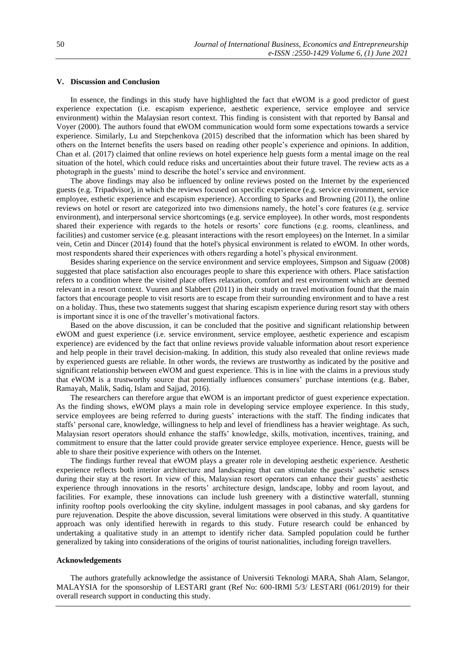# **V. Discussion and Conclusion**

In essence, the findings in this study have highlighted the fact that eWOM is a good predictor of guest experience expectation (i.e. escapism experience, aesthetic experience, service employee and service environment) within the Malaysian resort context. This finding is consistent with that reported by Bansal and Voyer (2000). The authors found that eWOM communication would form some expectations towards a service experience. Similarly, Lu and Stepchenkova (2015) described that the information which has been shared by others on the Internet benefits the users based on reading other people's experience and opinions. In addition, Chan et al. (2017) claimed that online reviews on hotel experience help guests form a mental image on the real situation of the hotel, which could reduce risks and uncertainties about their future travel. The review acts as a photograph in the guests' mind to describe the hotel's service and environment.

The above findings may also be influenced by online reviews posted on the Internet by the experienced guests (e.g. Tripadvisor), in which the reviews focused on specific experience (e.g. service environment, service employee, esthetic experience and escapism experience). According to Sparks and Browning (2011), the online reviews on hotel or resort are categorized into two dimensions namely, the hotel's core features (e.g. service environment), and interpersonal service shortcomings (e.g. service employee). In other words, most respondents shared their experience with regards to the hotels or resorts' core functions (e.g. rooms, cleanliness, and facilities) and customer service (e.g. pleasant interactions with the resort employees) on the Internet. In a similar vein, Cetin and Dincer (2014) found that the hotel's physical environment is related to eWOM. In other words, most respondents shared their experiences with others regarding a hotel's physical environment.

Besides sharing experience on the service environment and service employees, Simpson and Siguaw (2008) suggested that place satisfaction also encourages people to share this experience with others. Place satisfaction refers to a condition where the visited place offers relaxation, comfort and rest environment which are deemed relevant in a resort context. Vuuren and Slabbert (2011) in their study on travel motivation found that the main factors that encourage people to visit resorts are to escape from their surrounding environment and to have a rest on a holiday. Thus, these two statements suggest that sharing escapism experience during resort stay with others is important since it is one of the traveller's motivational factors.

Based on the above discussion, it can be concluded that the positive and significant relationship between eWOM and guest experience (i.e. service environment, service employee, aesthetic experience and escapism experience) are evidenced by the fact that online reviews provide valuable information about resort experience and help people in their travel decision-making. In addition, this study also revealed that online reviews made by experienced guests are reliable. In other words, the reviews are trustworthy as indicated by the positive and significant relationship between eWOM and guest experience. This is in line with the claims in a previous study that eWOM is a trustworthy source that potentially influences consumers' purchase intentions (e.g. Baber, Ramayah, Malik, Sadiq, Islam and Sajjad, 2016).

The researchers can therefore argue that eWOM is an important predictor of guest experience expectation. As the finding shows, eWOM plays a main role in developing service employee experience. In this study, service employees are being referred to during guests' interactions with the staff. The finding indicates that staffs' personal care, knowledge, willingness to help and level of friendliness has a heavier weightage. As such, Malaysian resort operators should enhance the staffs' knowledge, skills, motivation, incentives, training, and commitment to ensure that the latter could provide greater service employee experience. Hence, guests will be able to share their positive experience with others on the Internet.

The findings further reveal that eWOM plays a greater role in developing aesthetic experience. Aesthetic experience reflects both interior architecture and landscaping that can stimulate the guests' aesthetic senses during their stay at the resort. In view of this, Malaysian resort operators can enhance their guests' aesthetic experience through innovations in the resorts' architecture design, landscape, lobby and room layout, and facilities. For example, these innovations can include lush greenery with a distinctive waterfall, stunning infinity rooftop pools overlooking the city skyline, indulgent massages in pool cabanas, and sky gardens for pure rejuvenation. Despite the above discussion, several limitations were observed in this study. A quantitative approach was only identified herewith in regards to this study. Future research could be enhanced by undertaking a qualitative study in an attempt to identify richer data. Sampled population could be further generalized by taking into considerations of the origins of tourist nationalities, including foreign travellers.

#### **Acknowledgements**

The authors gratefully acknowledge the assistance of Universiti Teknologi MARA, Shah Alam, Selangor, MALAYSIA for the sponsorship of LESTARI grant (Ref No: 600-IRMI 5/3/ LESTARI (061/2019) for their overall research support in conducting this study.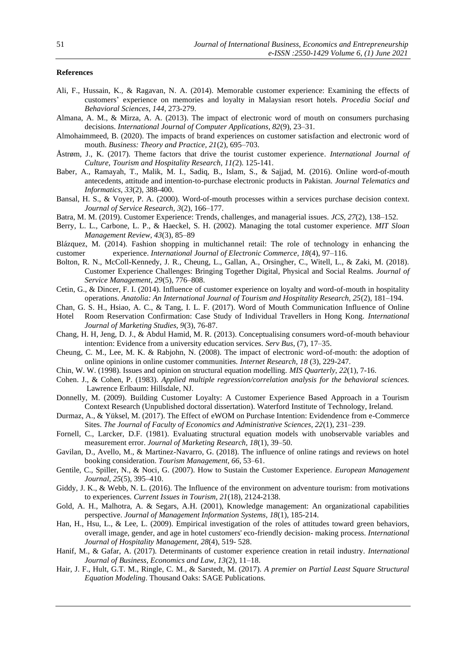# **References**

- Ali, F., Hussain, K., & Ragavan, N. A. (2014). Memorable customer experience: Examining the effects of customers' experience on memories and loyalty in Malaysian resort hotels. *Procedia Social and Behavioral Sciences*, *144*, 273-279.
- Almana, A. M., & Mirza, A. A. (2013). The impact of electronic word of mouth on consumers purchasing decisions. *International Journal of Computer Applications, 82*(9), 23–31.
- Almohaimmeed, B. (2020). The impacts of brand experiences on customer satisfaction and electronic word of mouth. *Business: Theory and Practice, 21*(2), 695–703.
- Åstrøm, J., K. (2017). Theme factors that drive the tourist customer experience*. International Journal of Culture, Tourism and Hospitality Research, 11(*2). 125-141.
- Baber, A., Ramayah, T., Malik, M. I., Sadiq, B., Islam, S., & Sajjad, M. (2016). Online word-of-mouth antecedents, attitude and intention-to-purchase electronic products in Pakistan*. Journal Telematics and Informatics, 33*(2), 388-400.
- Bansal, H. S., & Voyer, P. A. (2000). Word-of-mouth processes within a services purchase decision context. *Journal of Service Research, 3*(2), 166–177.
- Batra, M. M. (2019). Customer Experience: Trends, challenges, and managerial issues. *JCS, 27*(2), 138–152.
- Berry, L. L., Carbone, L. P., & Haeckel, S. H. (2002). Managing the total customer experience. *MIT Sloan Management Review, 43*(3), 85–89
- Blázquez, M. (2014). Fashion shopping in multichannel retail: The role of technology in enhancing the customer experience. *International Journal of Electronic Commerce, 18*(4), 97–116.
- Bolton, R. N., McColl-Kennedy, J. R., Cheung, L., Gallan, A., Orsingher, C., Witell, L., & Zaki, M. (2018). Customer Experience Challenges: Bringing Together Digital, Physical and Social Realms. *Journal of Service Management, 29*(5), 776–808.
- Cetin, G., & Dincer, F. I. (2014). Influence of customer experience on loyalty and word-of-mouth in hospitality operations. *Anatolia: An International Journal of Tourism and Hospitality Research, 25*(2), 181–194.
- Chan, G. S. H., Hsiao, A. C., & Tang, I. L. F. (2017). Word of Mouth Communication Influence of Online Hotel Room Reservation Confirmation: Case Study of Individual Travellers in Hong Kong. *International*
- *Journal of Marketing Studies, 9*(3), 76-87. Chang, H. H, Jeng, D. J., & Abdul Hamid, M. R. (2013). Conceptualising consumers word-of-mouth behaviour intention: Evidence from a university education services. *Serv Bus*, (7), 17–35.
- Cheung, C. M., Lee, M. K. & Rabjohn, N. (2008). The impact of electronic word-of-mouth: the adoption of online opinions in online customer communities. *Internet Research, 18* (3), 229-247.
- Chin, W. W. (1998). Issues and opinion on structural equation modelling. *MIS Quarterly, 22*(1), 7-16.
- Cohen. J., & Cohen, P. (1983). *Applied multiple regression/correlation analysis for the behavioral sciences.* Lawrence Erlbaum: Hillsdale, NJ.
- Donnelly, M. (2009). Building Customer Loyalty: A Customer Experience Based Approach in a Tourism Context Research (Unpublished doctoral dissertation). Waterford Institute of Technology, Ireland.
- Durmaz, A., & Yüksel, M. (2017). The Effect of eWOM on Purchase Intention: Evidendence from e-Commerce Sites. *The Journal of Faculty of Economics and Administrative Sciences, 22*(1), 231–239.
- Fornell, C., Larcker, D.F. (1981). Evaluating structural equation models with unobservable variables and measurement error. *Journal of Marketing Research, 18*(1), 39–50.
- Gavilan, D., Avello, M., & Martinez-Navarro, G. (2018). The influence of online ratings and reviews on hotel booking consideration. *Tourism Management, 66*, 53–61.
- Gentile, C., Spiller, N., & Noci, G. (2007). How to Sustain the Customer Experience. *European Management Journal, 25*(5), 395–410.
- Giddy, J. K., & Webb, N. L. (2016). The Influence of the environment on adventure tourism: from motivations to experiences. *Current Issues in Tourism, 21*(18), 2124-2138.
- Gold, A. H., Malhotra, A. & Segars, A.H. (2001), Knowledge management: An organizational capabilities perspective. *Journal of Management Information Systems, 18*(1), 185-214.
- Han, H., Hsu, L., & Lee, L. (2009). Empirical investigation of the roles of attitudes toward green behaviors, overall image, gender, and age in hotel customers' eco-friendly decision- making process. *International Journal of Hospitality Management, 28*(4), 519- 528.
- Hanif, M., & Gafar, A. (2017). Determinants of customer experience creation in retail industry. *International Journal of Business, Economics and Law, 13*(2), 11–18.
- Hair, J. F., Hult, G.T. M., Ringle, C. M., & Sarstedt, M. (2017). *A premier on Partial Least Square Structural Equation Modeling*. Thousand Oaks: SAGE Publications.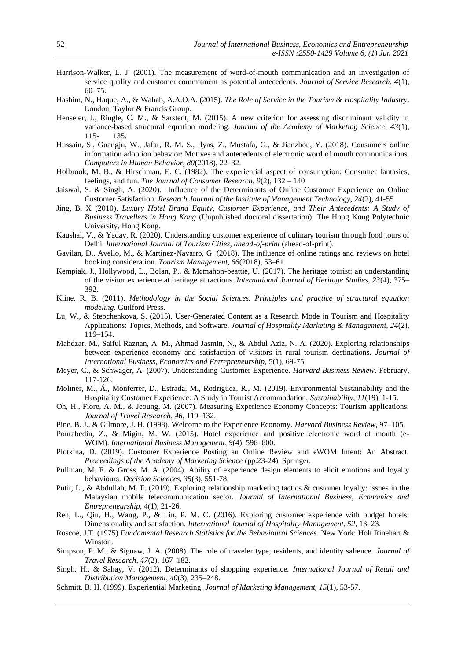- Harrison-Walker, L. J. (2001). The measurement of word-of-mouth communication and an investigation of service quality and customer commitment as potential antecedents. *Journal of Service Research, 4*(1), 60–75.
- Hashim, N., Haque, A., & Wahab, A.A.O.A. (2015). *The Role of Service in the Tourism & Hospitality Industry*. London: Taylor & Francis Group.
- Henseler, J., Ringle, C. M., & Sarstedt, M. (2015). A new criterion for assessing discriminant validity in variance-based structural equation modeling. *Journal of the Academy of Marketing Science, 43*(1), 115- 135.
- Hussain, S., Guangju, W., Jafar, R. M. S., Ilyas, Z., Mustafa, G., & Jianzhou, Y. (2018). Consumers online information adoption behavior: Motives and antecedents of electronic word of mouth communications. *Computers in Human Behavior, 80*(2018), 22–32.
- Holbrook, M. B., & Hirschman, E. C. (1982). The experiential aspect of consumption: Consumer fantasies, feelings, and fun. *The Journal of Consumer Research, 9*(2), 132 – 140
- Jaiswal, S. & Singh, A. (2020). Influence of the Determinants of Online Customer Experience on Online Customer Satisfaction. *Research Journal of the Institute of Management Technology, 24*(2), 41-55
- Jing, B. X (2010). *Luxury Hotel Brand Equity, Customer Experience, and Their Antecedents: A Study of Business Travellers in Hong Kong* (Unpublished doctoral dissertation). The Hong Kong Polytechnic University, Hong Kong.
- Kaushal, V., & Yadav, R. (2020). Understanding customer experience of culinary tourism through food tours of Delhi. *International Journal of Tourism Cities, ahead-of-print* (ahead-of-print).
- Gavilan, D., Avello, M., & Martinez-Navarro, G. (2018). The influence of online ratings and reviews on hotel booking consideration. *Tourism Management, 66*(2018), 53–61.
- Kempiak, J., Hollywood, L., Bolan, P., & Mcmahon-beattie, U. (2017). The heritage tourist: an understanding of the visitor experience at heritage attractions. *International Journal of Heritage Studies, 23*(4), 375– 392.
- Kline, R. B. (2011). *Methodology in the Social Sciences. Principles and practice of structural equation modeling*. Guilford Press.
- Lu, W., & Stepchenkova, S. (2015). User-Generated Content as a Research Mode in Tourism and Hospitality Applications: Topics, Methods, and Software. *Journal of Hospitality Marketing & Management, 24*(2), 119–154.
- Mahdzar, M., Saiful Raznan, A. M., Ahmad Jasmin, N., & Abdul Aziz, N. A. (2020). Exploring relationships between experience economy and satisfaction of visitors in rural tourism destinations. *Journal of International Business, Economics and Entrepreneurship*, 5(1), 69-75.
- Meyer, C., & Schwager, A. (2007). Understanding Customer Experience*. Harvard Business Review*. February, 117-126.
- Moliner, M., Á., Monferrer, D., Estrada, M., Rodriguez, R., M. (2019). Environmental Sustainability and the Hospitality Customer Experience: A Study in Tourist Accommodation. *Sustainability, 11*(19), 1-15.
- Oh, H., Fiore, A. M., & Jeoung, M. (2007). Measuring Experience Economy Concepts: Tourism applications. *Journal of Travel Research, 46*, 119–132.
- Pine, B. J., & Gilmore, J. H. (1998). Welcome to the Experience Economy. *Harvard Business Review*, 97–105.
- Pourabedin, Z., & Migin, M. W. (2015). Hotel experience and positive electronic word of mouth (e-WOM). *International Business Management, 9*(4), 596–600.
- Plotkina, D. (2019). Customer Experience Posting an Online Review and eWOM Intent: An Abstract. *Proceedings of the Academy of Marketing Science* (pp.23-24). Springer.
- Pullman, M. E. & Gross, M. A. (2004). Ability of experience design elements to elicit emotions and loyalty behaviours. *Decision Sciences, 35*(3), 551-78.
- Putit, L., & Abdullah, M. F. (2019). Exploring relationship marketing tactics & customer loyalty: issues in the Malaysian mobile telecommunication sector. *Journal of International Business, Economics and Entrepreneurship*, 4(1), 21-26.
- Ren, L., Qiu, H., Wang, P., & Lin, P. M. C. (2016). Exploring customer experience with budget hotels: Dimensionality and satisfaction. *International Journal of Hospitality Management, 52*, 13–23.
- Roscoe, J.T. (1975) *Fundamental Research Statistics for the Behavioural Sciences*. New York: Holt Rinehart & Winston.
- Simpson, P. M., & Siguaw, J. A. (2008). The role of traveler type, residents, and identity salience. *Journal of Travel Research, 47*(2), 167–182.
- Singh, H., & Sahay, V. (2012). Determinants of shopping experience. *International Journal of Retail and Distribution Management, 40*(3), 235–248.
- Schmitt, B. H. (1999). Experiential Marketing. *Journal of Marketing Management, 15*(1), 53-57.